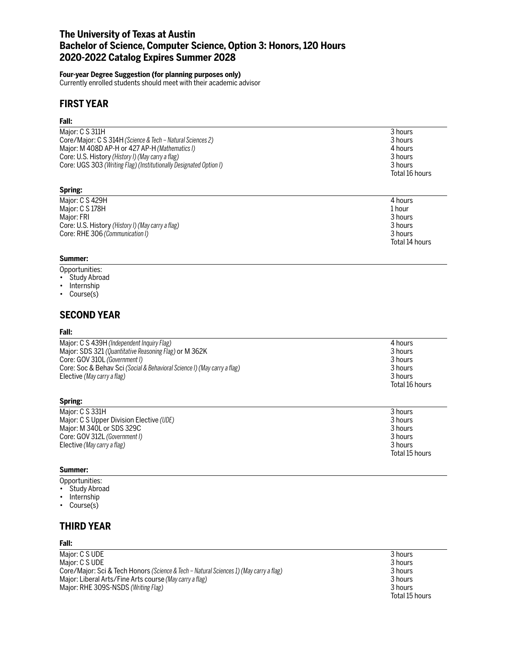# **The University of Texas at Austin Bachelor of Science, Computer Science, Option 3: Honors, 120 Hours 2020-2022 Catalog Expires Summer 2028**

# **Four-year Degree Suggestion (for planning purposes only)**

Currently enrolled students should meet with their academic advisor

# **FIRST YEAR**

### **Fall:**

| Maior: C S 311H                                                    | 3 hours        |
|--------------------------------------------------------------------|----------------|
| Core/Major: C S 314H (Science & Tech – Natural Sciences 2)         | 3 hours        |
| Major: M 408D AP-H or 427 AP-H (Mathematics I)                     | 4 hours        |
| Core: U.S. History (History I) (May carry a flag)                  | 3 hours        |
| Core: UGS 303 (Writing Flag) (Institutionally Designated Option I) | 3 hours        |
|                                                                    | Total 16 hours |
|                                                                    |                |

### **Spring:**

| Major: C S 429H                                   | 4 hours        |
|---------------------------------------------------|----------------|
| Major: C S 178H                                   | 1 hour         |
| Maior: FRI                                        | 3 hours        |
| Core: U.S. History (History I) (May carry a flag) | 3 hours        |
| Core: RHE 306 (Communication I)                   | 3 hours        |
|                                                   | Total 14 hours |

# **Summer:**

- Opportunities:
- Study Abroad
- Internship
- Course(s)

# **SECOND YEAR**

### **Fall:**

| Major: C S 439H (Independent Inquiry Flag)                               | 4 hours        |
|--------------------------------------------------------------------------|----------------|
| Major: SDS 321 (Quantitative Reasoning Flag) or M 362K                   | 3 hours        |
| Core: GOV 310L (Government I)                                            | 3 hours        |
| Core: Soc & Behav Sci (Social & Behavioral Science I) (May carry a flag) | 3 hours        |
| Elective (May carry a flag)                                              | 3 hours        |
|                                                                          | Total 16 hours |

### **Spring:**

| Maior: C S 331H                          | 3 hours        |
|------------------------------------------|----------------|
| Major: C S Upper Division Elective (UDE) | 3 hours        |
| Major: M 340L or SDS 329C                | 3 hours        |
| Core: GOV 312L (Government I)            | 3 hours        |
| Elective (May carry a flag)              | 3 hours        |
|                                          | Total 15 hours |

#### **Summer:**

- Opportunities:
- Study Abroad
- Internship
- Course(s)

# **THIRD YEAR**

# **Fall:**

Major: C S UDE 3 hours<br>
Major: C S UDE 3 hours<br>
3 hours Major: C S UDE<br>Core/Major: Sci & Tech Honors *(Science & Tech – Natural Sciences 1) (May carry a flag*) 3 hours 3 hours 3 hours Core/Major: Sci & Tech Honors *(Science & Tech – Natural Sciences 1) (May carry a flag)* Major: Liberal Arts/Fine Arts course *(May carry a flag)* 3 hours Major: RHE 309S-NSDS *(Writing Flag)* 3 hours<br>
Total 15 hours

Total 15 hours